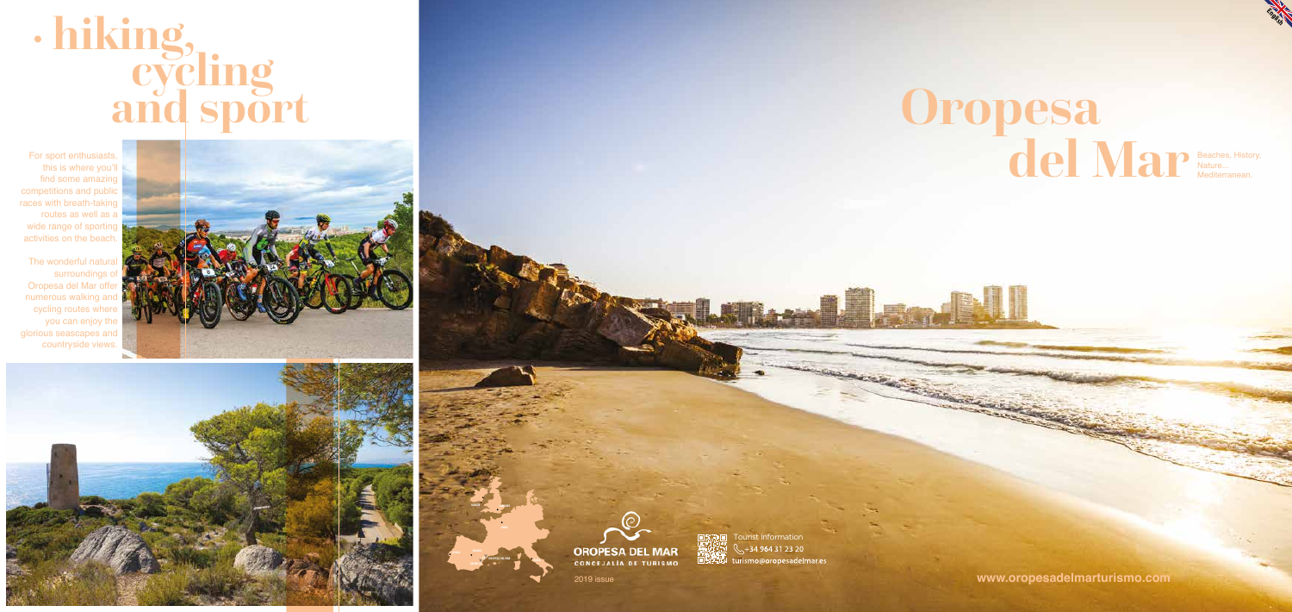### **Oropesa del Mar**

### **• hiking, cycling and sport**

Beaches, History, Nature... Mediterranean.

2019 issue **www.oropesadelmarturismo.com**

**OROPESA DEL MAR**

**MADRID LISBOA**



**ROMA**

**LONDRES DUBLÍN**

For sport enthusiasts, this is where you'll find some amazing competitions and public races with breath-taking routes as well as a wide range of sporting activities on the beach.

The wonderful natural surroundings of Oropesa del Mar offer numerous walking and cycling routes where you can enjoy the glorious seascapes and countryside views.







**THE TOURNEY TOURISM**  $\frac{1}{2} + 34964312320$ WX **ELANDRETA CONTRACTOR**  **RACK CONSTRUCTION** 

**English**